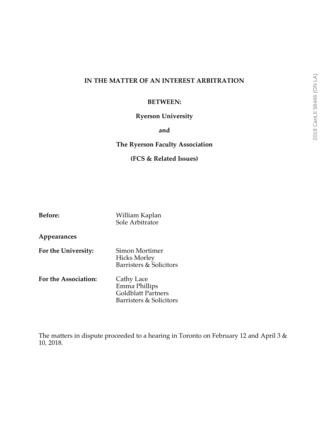## **IN THE MATTER OF AN INTEREST ARBITRATION**

### **BETWEEN:**

### **Ryerson University**

### **and**

### **The Ryerson Faculty Association**

### **(FCS & Related Issues)**

| <b>Before:</b>       | William Kaplan<br>Sole Arbitrator                                                   |
|----------------------|-------------------------------------------------------------------------------------|
| Appearances          |                                                                                     |
| For the University:  | Simon Mortimer<br><b>Hicks Morley</b><br>Barristers & Solicitors                    |
| For the Association: | Cathy Lace<br>Emma Phillips<br><b>Goldblatt Partners</b><br>Barristers & Solicitors |

The matters in dispute proceeded to a hearing in Toronto on February 12 and April 3 & 10, 2018.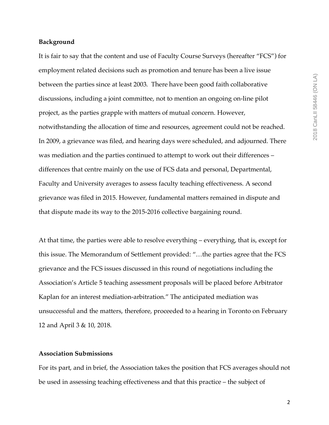#### **Background**

It is fair to say that the content and use of Faculty Course Surveys (hereafter "FCS") for employment related decisions such as promotion and tenure has been a live issue between the parties since at least 2003. There have been good faith collaborative discussions, including a joint committee, not to mention an ongoing on-line pilot project, as the parties grapple with matters of mutual concern. However, notwithstanding the allocation of time and resources, agreement could not be reached. In 2009, a grievance was filed, and hearing days were scheduled, and adjourned. There was mediation and the parties continued to attempt to work out their differences – differences that centre mainly on the use of FCS data and personal, Departmental, Faculty and University averages to assess faculty teaching effectiveness. A second grievance was filed in 2015. However, fundamental matters remained in dispute and that dispute made its way to the 2015-2016 collective bargaining round.

At that time, the parties were able to resolve everything – everything, that is, except for this issue. The Memorandum of Settlement provided: "…the parties agree that the FCS grievance and the FCS issues discussed in this round of negotiations including the Association's Article 5 teaching assessment proposals will be placed before Arbitrator Kaplan for an interest mediation-arbitration." The anticipated mediation was unsuccessful and the matters, therefore, proceeded to a hearing in Toronto on February 12 and April 3 & 10, 2018.

#### **Association Submissions**

For its part, and in brief, the Association takes the position that FCS averages should not be used in assessing teaching effectiveness and that this practice – the subject of

2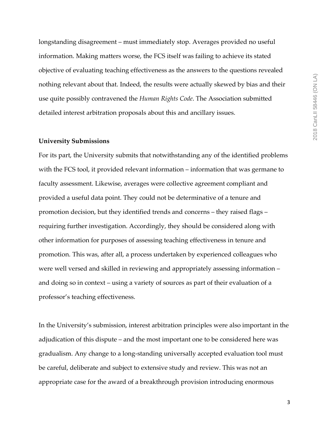longstanding disagreement – must immediately stop. Averages provided no useful information. Making matters worse, the FCS itself was failing to achieve its stated objective of evaluating teaching effectiveness as the answers to the questions revealed nothing relevant about that. Indeed, the results were actually skewed by bias and their use quite possibly contravened the *Human Rights Code*. The Association submitted detailed interest arbitration proposals about this and ancillary issues.

#### **University Submissions**

For its part, the University submits that notwithstanding any of the identified problems with the FCS tool, it provided relevant information – information that was germane to faculty assessment. Likewise, averages were collective agreement compliant and provided a useful data point. They could not be determinative of a tenure and promotion decision, but they identified trends and concerns – they raised flags – requiring further investigation. Accordingly, they should be considered along with other information for purposes of assessing teaching effectiveness in tenure and promotion. This was, after all, a process undertaken by experienced colleagues who were well versed and skilled in reviewing and appropriately assessing information – and doing so in context – using a variety of sources as part of their evaluation of a professor's teaching effectiveness.

In the University's submission, interest arbitration principles were also important in the adjudication of this dispute – and the most important one to be considered here was gradualism. Any change to a long-standing universally accepted evaluation tool must be careful, deliberate and subject to extensive study and review. This was not an appropriate case for the award of a breakthrough provision introducing enormous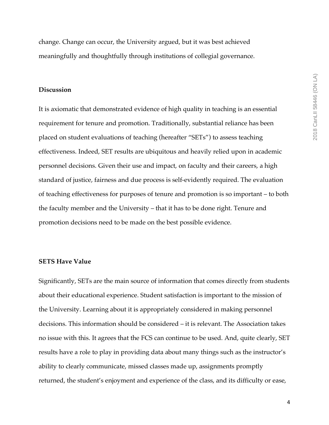change. Change can occur, the University argued, but it was best achieved meaningfully and thoughtfully through institutions of collegial governance.

#### **Discussion**

It is axiomatic that demonstrated evidence of high quality in teaching is an essential requirement for tenure and promotion. Traditionally, substantial reliance has been placed on student evaluations of teaching (hereafter "SETs") to assess teaching effectiveness. Indeed, SET results are ubiquitous and heavily relied upon in academic personnel decisions. Given their use and impact, on faculty and their careers, a high standard of justice, fairness and due process is self-evidently required. The evaluation of teaching effectiveness for purposes of tenure and promotion is so important – to both the faculty member and the University – that it has to be done right. Tenure and promotion decisions need to be made on the best possible evidence.

#### **SETS Have Value**

Significantly, SETs are the main source of information that comes directly from students about their educational experience. Student satisfaction is important to the mission of the University. Learning about it is appropriately considered in making personnel decisions. This information should be considered – it is relevant. The Association takes no issue with this. It agrees that the FCS can continue to be used. And, quite clearly, SET results have a role to play in providing data about many things such as the instructor's ability to clearly communicate, missed classes made up, assignments promptly returned, the student's enjoyment and experience of the class, and its difficulty or ease,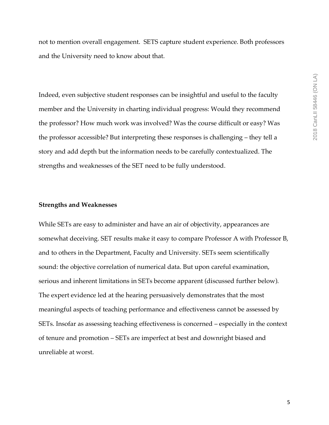not to mention overall engagement. SETS capture student experience. Both professors and the University need to know about that.

Indeed, even subjective student responses can be insightful and useful to the faculty member and the University in charting individual progress: Would they recommend the professor? How much work was involved? Was the course difficult or easy? Was the professor accessible? But interpreting these responses is challenging – they tell a story and add depth but the information needs to be carefully contextualized. The strengths and weaknesses of the SET need to be fully understood.

#### **Strengths and Weaknesses**

While SETs are easy to administer and have an air of objectivity, appearances are somewhat deceiving. SET results make it easy to compare Professor A with Professor B, and to others in the Department, Faculty and University. SETs seem scientifically sound: the objective correlation of numerical data. But upon careful examination, serious and inherent limitations in SETs become apparent (discussed further below). The expert evidence led at the hearing persuasively demonstrates that the most meaningful aspects of teaching performance and effectiveness cannot be assessed by SETs. Insofar as assessing teaching effectiveness is concerned – especially in the context of tenure and promotion – SETs are imperfect at best and downright biased and unreliable at worst.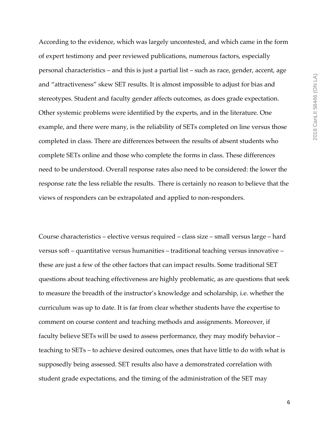2018 CanLII 58446 (ON LA) 2018 CanLII 58446 (ON LA)

According to the evidence, which was largely uncontested, and which came in the form of expert testimony and peer reviewed publications, numerous factors, especially personal characteristics – and this is just a partial list – such as race, gender, accent, age and "attractiveness" skew SET results. It is almost impossible to adjust for bias and stereotypes. Student and faculty gender affects outcomes, as does grade expectation. Other systemic problems were identified by the experts, and in the literature. One example, and there were many, is the reliability of SETs completed on line versus those completed in class. There are differences between the results of absent students who complete SETs online and those who complete the forms in class. These differences need to be understood. Overall response rates also need to be considered: the lower the response rate the less reliable the results. There is certainly no reason to believe that the views of responders can be extrapolated and applied to non-responders.

Course characteristics – elective versus required – class size – small versus large – hard versus soft – quantitative versus humanities – traditional teaching versus innovative – these are just a few of the other factors that can impact results. Some traditional SET questions about teaching effectiveness are highly problematic, as are questions that seek to measure the breadth of the instructor's knowledge and scholarship, i.e. whether the curriculum was up to date. It is far from clear whether students have the expertise to comment on course content and teaching methods and assignments. Moreover, if faculty believe SETs will be used to assess performance, they may modify behavior – teaching to SETs – to achieve desired outcomes, ones that have little to do with what is supposedly being assessed. SET results also have a demonstrated correlation with student grade expectations, and the timing of the administration of the SET may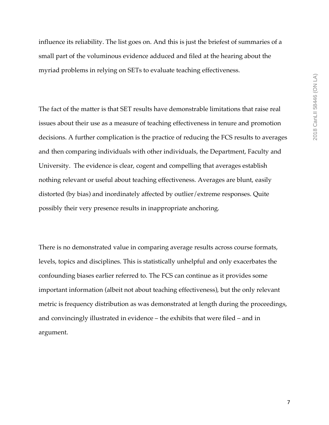influence its reliability. The list goes on. And this is just the briefest of summaries of a small part of the voluminous evidence adduced and filed at the hearing about the myriad problems in relying on SETs to evaluate teaching effectiveness.

The fact of the matter is that SET results have demonstrable limitations that raise real issues about their use as a measure of teaching effectiveness in tenure and promotion decisions. A further complication is the practice of reducing the FCS results to averages and then comparing individuals with other individuals, the Department, Faculty and University. The evidence is clear, cogent and compelling that averages establish nothing relevant or useful about teaching effectiveness. Averages are blunt, easily distorted (by bias) and inordinately affected by outlier/extreme responses. Quite possibly their very presence results in inappropriate anchoring.

There is no demonstrated value in comparing average results across course formats, levels, topics and disciplines. This is statistically unhelpful and only exacerbates the confounding biases earlier referred to. The FCS can continue as it provides some important information (albeit not about teaching effectiveness), but the only relevant metric is frequency distribution as was demonstrated at length during the proceedings, and convincingly illustrated in evidence – the exhibits that were filed – and in argument.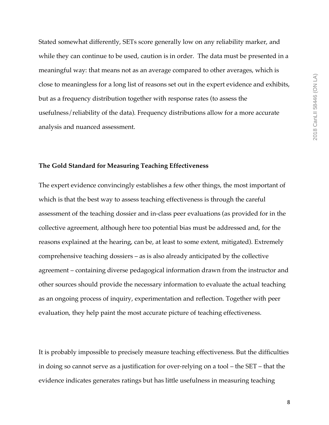Stated somewhat differently, SETs score generally low on any reliability marker, and while they can continue to be used, caution is in order. The data must be presented in a meaningful way: that means not as an average compared to other averages, which is close to meaningless for a long list of reasons set out in the expert evidence and exhibits, but as a frequency distribution together with response rates (to assess the usefulness/reliability of the data). Frequency distributions allow for a more accurate analysis and nuanced assessment.

#### **The Gold Standard for Measuring Teaching Effectiveness**

The expert evidence convincingly establishes a few other things, the most important of which is that the best way to assess teaching effectiveness is through the careful assessment of the teaching dossier and in-class peer evaluations (as provided for in the collective agreement, although here too potential bias must be addressed and, for the reasons explained at the hearing, can be, at least to some extent, mitigated). Extremely comprehensive teaching dossiers – as is also already anticipated by the collective agreement – containing diverse pedagogical information drawn from the instructor and other sources should provide the necessary information to evaluate the actual teaching as an ongoing process of inquiry, experimentation and reflection. Together with peer evaluation, they help paint the most accurate picture of teaching effectiveness.

It is probably impossible to precisely measure teaching effectiveness. But the difficulties in doing so cannot serve as a justification for over-relying on a tool – the SET – that the evidence indicates generates ratings but has little usefulness in measuring teaching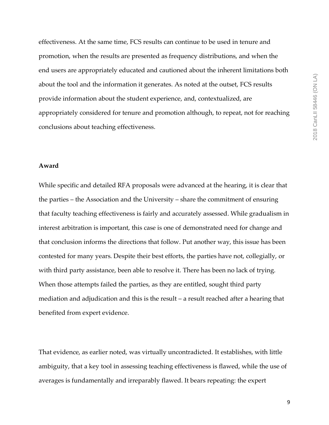2018 CanLII 58446 (ON LA) 2018 CanLII 58446 (ON LA)

**Award**

conclusions about teaching effectiveness.

While specific and detailed RFA proposals were advanced at the hearing, it is clear that the parties – the Association and the University – share the commitment of ensuring that faculty teaching effectiveness is fairly and accurately assessed. While gradualism in interest arbitration is important, this case is one of demonstrated need for change and that conclusion informs the directions that follow. Put another way, this issue has been contested for many years. Despite their best efforts, the parties have not, collegially, or with third party assistance, been able to resolve it. There has been no lack of trying. When those attempts failed the parties, as they are entitled, sought third party mediation and adjudication and this is the result – a result reached after a hearing that benefited from expert evidence.

effectiveness. At the same time, FCS results can continue to be used in tenure and

promotion, when the results are presented as frequency distributions, and when the

about the tool and the information it generates. As noted at the outset, FCS results

provide information about the student experience, and, contextualized, are

end users are appropriately educated and cautioned about the inherent limitations both

appropriately considered for tenure and promotion although, to repeat, not for reaching

That evidence, as earlier noted, was virtually uncontradicted. It establishes, with little ambiguity, that a key tool in assessing teaching effectiveness is flawed, while the use of averages is fundamentally and irreparably flawed. It bears repeating: the expert

9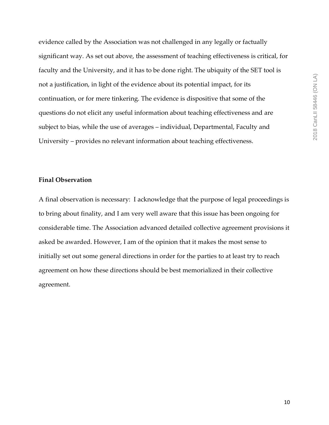evidence called by the Association was not challenged in any legally or factually significant way. As set out above, the assessment of teaching effectiveness is critical, for faculty and the University, and it has to be done right. The ubiquity of the SET tool is not a justification, in light of the evidence about its potential impact, for its continuation, or for mere tinkering. The evidence is dispositive that some of the questions do not elicit any useful information about teaching effectiveness and are subject to bias, while the use of averages – individual, Departmental, Faculty and University – provides no relevant information about teaching effectiveness.

#### **Final Observation**

A final observation is necessary: I acknowledge that the purpose of legal proceedings is to bring about finality, and I am very well aware that this issue has been ongoing for considerable time. The Association advanced detailed collective agreement provisions it asked be awarded. However, I am of the opinion that it makes the most sense to initially set out some general directions in order for the parties to at least try to reach agreement on how these directions should be best memorialized in their collective agreement.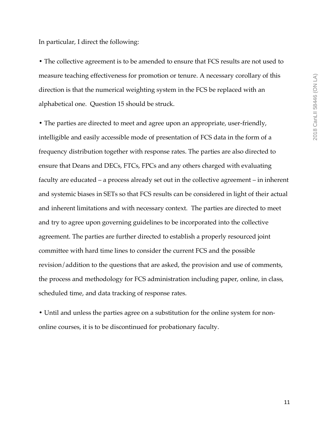In particular, I direct the following:

**•** The collective agreement is to be amended to ensure that FCS results are not used to measure teaching effectiveness for promotion or tenure. A necessary corollary of this direction is that the numerical weighting system in the FCS be replaced with an alphabetical one. Question 15 should be struck.

**•** The parties are directed to meet and agree upon an appropriate, user-friendly, intelligible and easily accessible mode of presentation of FCS data in the form of a frequency distribution together with response rates. The parties are also directed to ensure that Deans and DECs, FTCs, FPCs and any others charged with evaluating faculty are educated – a process already set out in the collective agreement – in inherent and systemic biases in SETs so that FCS results can be considered in light of their actual and inherent limitations and with necessary context. The parties are directed to meet and try to agree upon governing guidelines to be incorporated into the collective agreement. The parties are further directed to establish a properly resourced joint committee with hard time lines to consider the current FCS and the possible revision/addition to the questions that are asked, the provision and use of comments, the process and methodology for FCS administration including paper, online, in class, scheduled time, and data tracking of response rates.

**•** Until and unless the parties agree on a substitution for the online system for nononline courses, it is to be discontinued for probationary faculty.

11